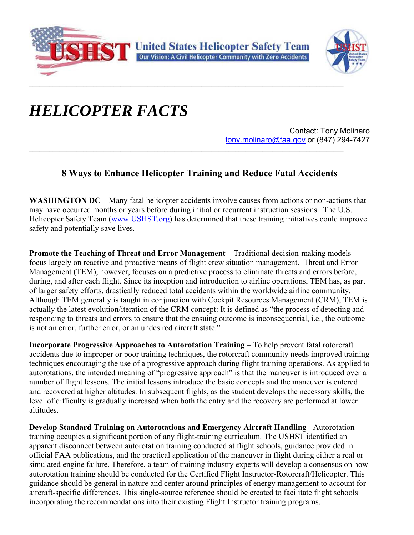



## *HELICOPTER FACTS*

Contact: Tony Molinaro tony.molinaro@faa.gov or (847) 294-7427 **\_\_\_\_\_\_\_\_\_\_\_\_\_\_\_\_\_\_\_\_\_\_\_\_\_\_\_\_\_\_\_\_\_\_\_\_\_\_\_\_\_\_\_\_\_\_\_\_\_\_\_\_\_\_\_\_\_\_\_\_\_\_\_\_\_\_\_\_\_\_\_\_\_\_\_\_\_\_\_\_\_\_\_\_\_\_\_\_\_\_\_\_\_**

## **8 Ways to Enhance Helicopter Training and Reduce Fatal Accidents**

**WASHINGTON DC** – Many fatal helicopter accidents involve causes from actions or non-actions that may have occurred months or years before during initial or recurrent instruction sessions. The U.S. Helicopter Safety Team (www.USHST.org) has determined that these training initiatives could improve safety and potentially save lives.

**Promote the Teaching of Threat and Error Management – Traditional decision-making models** focus largely on reactive and proactive means of flight crew situation management. Threat and Error Management (TEM), however, focuses on a predictive process to eliminate threats and errors before, during, and after each flight. Since its inception and introduction to airline operations, TEM has, as part of larger safety efforts, drastically reduced total accidents within the worldwide airline community. Although TEM generally is taught in conjunction with Cockpit Resources Management (CRM), TEM is actually the latest evolution/iteration of the CRM concept: It is defined as "the process of detecting and responding to threats and errors to ensure that the ensuing outcome is inconsequential, i.e., the outcome is not an error, further error, or an undesired aircraft state."

**Incorporate Progressive Approaches to Autorotation Training** – To help prevent fatal rotorcraft accidents due to improper or poor training techniques, the rotorcraft community needs improved training techniques encouraging the use of a progressive approach during flight training operations. As applied to autorotations, the intended meaning of "progressive approach" is that the maneuver is introduced over a number of flight lessons. The initial lessons introduce the basic concepts and the maneuver is entered and recovered at higher altitudes. In subsequent flights, as the student develops the necessary skills, the level of difficulty is gradually increased when both the entry and the recovery are performed at lower altitudes.

**Develop Standard Training on Autorotations and Emergency Aircraft Handling** - Autorotation training occupies a significant portion of any flight-training curriculum. The USHST identified an apparent disconnect between autorotation training conducted at flight schools, guidance provided in official FAA publications, and the practical application of the maneuver in flight during either a real or simulated engine failure. Therefore, a team of training industry experts will develop a consensus on how autorotation training should be conducted for the Certified Flight Instructor-Rotorcraft/Helicopter. This guidance should be general in nature and center around principles of energy management to account for aircraft-specific differences. This single-source reference should be created to facilitate flight schools incorporating the recommendations into their existing Flight Instructor training programs.